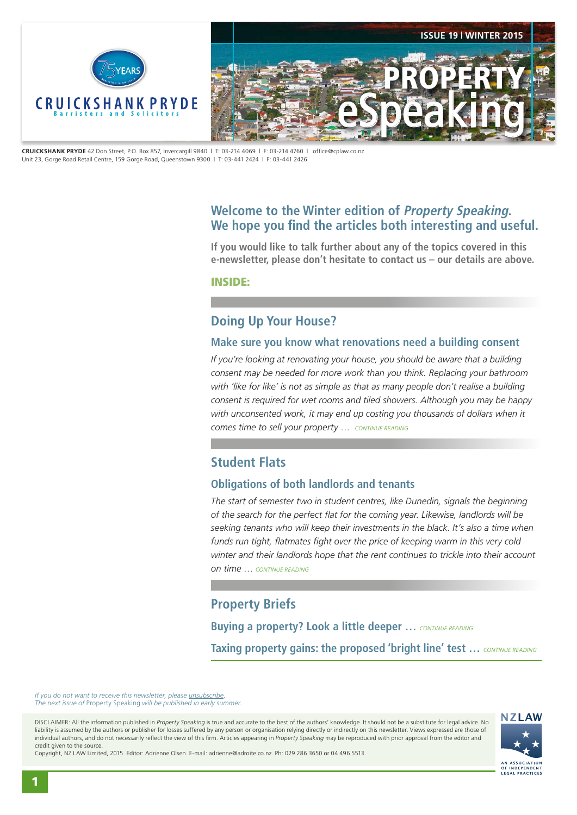<span id="page-0-0"></span>

**CRUICKSHANK PRYDE** 42 Don Street, P.O. Box 857, Invercargill 9840 | T: 03-214 4069 | F: 03-214 4760 | office@cplaw.co.nz Unit 23, Gorge Road Retail Centre, 159 Gorge Road, Queenstown 9300 | T: 03-441 2424 | F: 03-441 2426

# **Welcome to the Winter edition of Property Speaking. We hope you find the articles both interesting and useful.**

**If you would like to talk further about any of the topics covered in this e-newsletter, please don't hesitate to contact us – our details are above.**

INSIDE:

## **Doing Up Your House?**

#### **Make sure you know what renovations need a building consent**

*If you're looking at renovating your house, you should be aware that a building consent may be needed for more work than you think. Replacing your bathroom*  with 'like for like' is not as simple as that as many people don't realise a building *consent is required for wet rooms and tiled showers. Although you may be happy*  with unconsented work, it may end up costing you thousands of dollars when it *comes time to sell your property* … *[CONTINUE READING](#page-1-0)*

# **Student Flats**

## **Obligations of both landlords and tenants**

*The start of semester two in student centres, like Dunedin, signals the beginning of the search for the perfect flat for the coming year. Likewise, landlords will be seeking tenants who will keep their investments in the black. It's also a time when funds run tight, flatmates fight over the price of keeping warm in this very cold winter and their landlords hope that the rent continues to trickle into their account on time* … *[CONTINUE READING](#page-2-0)*

# **Property Briefs**

**Buying a property? Look a little deeper …** *[CONTINUE READING](#page-3-0)* **Taxing property gains: the proposed 'bright line' test …** *[CONTINUE READING](#page-3-0)*

*If you do not want to receive this newsletter, please <i>unsubscribe*. *The next issue of* Property Speaking *will be published in early summer.* 

DISCLAIMER: All the information published in *Property Speaking* is true and accurate to the best of the authors' knowledge. It should not be a substitute for legal advice. No liability is assumed by the authors or publisher for losses suffered by any person or organisation relying directly or indirectly on this newsletter. Views expressed are those of individual authors, and do not necessarily reflect the view of this firm. Articles appearing in *Property Speaking* may be reproduced with prior approval from the editor and credit given to the source.



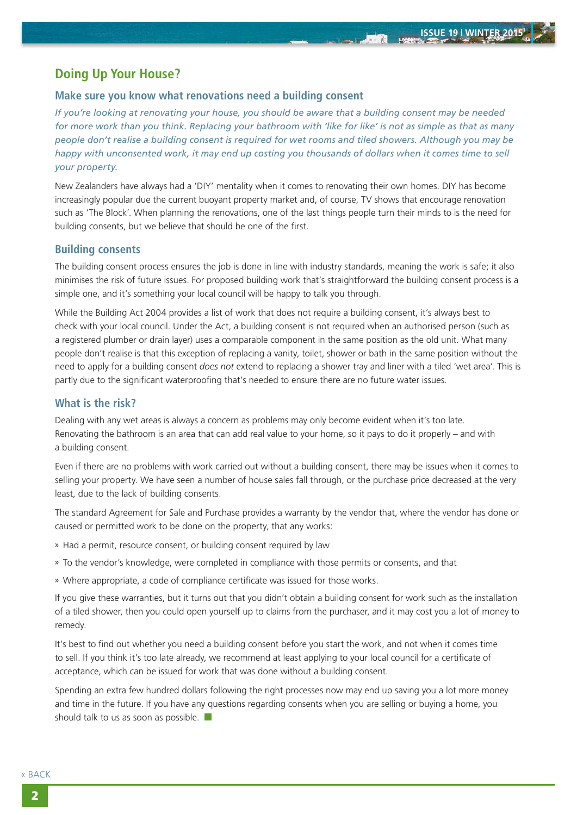**John** 

# <span id="page-1-0"></span>**Doing Up Your House?**

#### **Make sure you know what renovations need a building consent**

*If you're looking at renovating your house, you should be aware that a building consent may be needed for more work than you think. Replacing your bathroom with 'like for like' is not as simple as that as many people don't realise a building consent is required for wet rooms and tiled showers. Although you may be happy with unconsented work, it may end up costing you thousands of dollars when it comes time to sell your property.*

New Zealanders have always had a 'DIY' mentality when it comes to renovating their own homes. DIY has become increasingly popular due the current buoyant property market and, of course, TV shows that encourage renovation such as 'The Block'. When planning the renovations, one of the last things people turn their minds to is the need for building consents, but we believe that should be one of the first.

#### **Building consents**

The building consent process ensures the job is done in line with industry standards, meaning the work is safe; it also minimises the risk of future issues. For proposed building work that's straightforward the building consent process is a simple one, and it's something your local council will be happy to talk you through.

While the Building Act 2004 provides a list of work that does not require a building consent, it's always best to check with your local council. Under the Act, a building consent is not required when an authorised person (such as a registered plumber or drain layer) uses a comparable component in the same position as the old unit. What many people don't realise is that this exception of replacing a vanity, toilet, shower or bath in the same position without the need to apply for a building consent *does not* extend to replacing a shower tray and liner with a tiled 'wet area'. This is partly due to the significant waterproofing that's needed to ensure there are no future water issues.

#### **What is the risk?**

Dealing with any wet areas is always a concern as problems may only become evident when it's too late. Renovating the bathroom is an area that can add real value to your home, so it pays to do it properly – and with a building consent.

Even if there are no problems with work carried out without a building consent, there may be issues when it comes to selling your property. We have seen a number of house sales fall through, or the purchase price decreased at the very least, due to the lack of building consents.

The standard Agreement for Sale and Purchase provides a warranty by the vendor that, where the vendor has done or caused or permitted work to be done on the property, that any works:

- » Had a permit, resource consent, or building consent required by law
- » To the vendor's knowledge, were completed in compliance with those permits or consents, and that
- » Where appropriate, a code of compliance certificate was issued for those works.

If you give these warranties, but it turns out that you didn't obtain a building consent for work such as the installation of a tiled shower, then you could open yourself up to claims from the purchaser, and it may cost you a lot of money to remedy.

It's best to find out whether you need a building consent before you start the work, and not when it comes time to sell. If you think it's too late already, we recommend at least applying to your local council for a certificate of acceptance, which can be issued for work that was done without a building consent.

Spending an extra few hundred dollars following the right processes now may end up saving you a lot more money and time in the future. If you have any questions regarding consents when you are selling or buying a home, you should talk to us as soon as possible.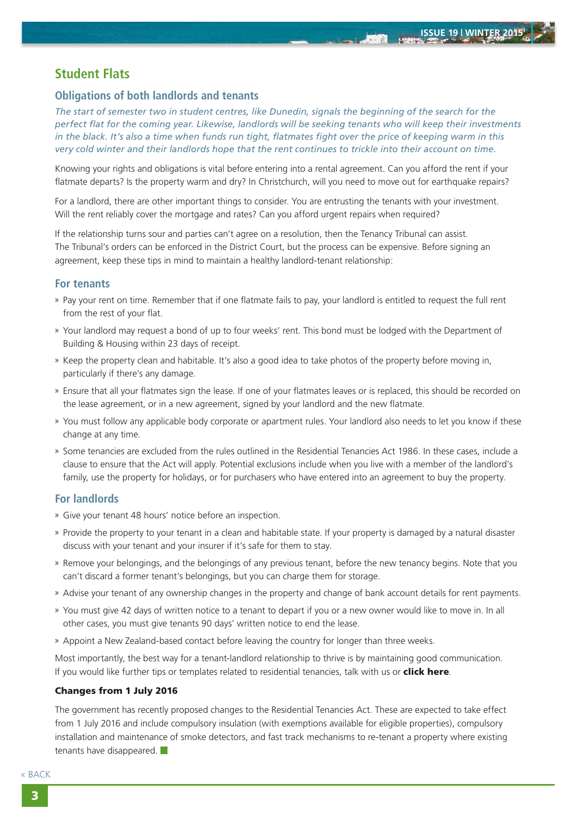石油館

# <span id="page-2-0"></span>**Student Flats**

## **Obligations of both landlords and tenants**

*The start of semester two in student centres, like Dunedin, signals the beginning of the search for the perfect flat for the coming year. Likewise, landlords will be seeking tenants who will keep their investments in the black. It's also a time when funds run tight, flatmates fight over the price of keeping warm in this very cold winter and their landlords hope that the rent continues to trickle into their account on time.*

Knowing your rights and obligations is vital before entering into a rental agreement. Can you afford the rent if your flatmate departs? Is the property warm and dry? In Christchurch, will you need to move out for earthquake repairs?

For a landlord, there are other important things to consider. You are entrusting the tenants with your investment. Will the rent reliably cover the mortgage and rates? Can you afford urgent repairs when required?

If the relationship turns sour and parties can't agree on a resolution, then the Tenancy Tribunal can assist. The Tribunal's orders can be enforced in the District Court, but the process can be expensive. Before signing an agreement, keep these tips in mind to maintain a healthy landlord-tenant relationship:

## **For tenants**

- » Pay your rent on time. Remember that if one flatmate fails to pay, your landlord is entitled to request the full rent from the rest of your flat.
- » Your landlord may request a bond of up to four weeks' rent. This bond must be lodged with the Department of Building & Housing within 23 days of receipt.
- » Keep the property clean and habitable. It's also a good idea to take photos of the property before moving in, particularly if there's any damage.
- » Ensure that all your flatmates sign the lease. If one of your flatmates leaves or is replaced, this should be recorded on the lease agreement, or in a new agreement, signed by your landlord and the new flatmate.
- » You must follow any applicable body corporate or apartment rules. Your landlord also needs to let you know if these change at any time.
- » Some tenancies are excluded from the rules outlined in the Residential Tenancies Act 1986. In these cases, include a clause to ensure that the Act will apply. Potential exclusions include when you live with a member of the landlord's family, use the property for holidays, or for purchasers who have entered into an agreement to buy the property.

## **For landlords**

- » Give your tenant 48 hours' notice before an inspection.
- » Provide the property to your tenant in a clean and habitable state. If your property is damaged by a natural disaster discuss with your tenant and your insurer if it's safe for them to stay.
- » Remove your belongings, and the belongings of any previous tenant, before the new tenancy begins. Note that you can't discard a former tenant's belongings, but you can charge them for storage.
- » Advise your tenant of any ownership changes in the property and change of bank account details for rent payments.
- » You must give 42 days of written notice to a tenant to depart if you or a new owner would like to move in. In all other cases, you must give tenants 90 days' written notice to end the lease.
- » Appoint a New Zealand-based contact before leaving the country for longer than three weeks.

Most importantly, the best way for a tenant-landlord relationship to thrive is by maintaining good communication. If you would like further tips or templates related to residential tenancies, talk with us or **[click here](www.tenancy.govt.nz)**.

#### Changes from 1 July 2016

The government has recently proposed changes to the Residential Tenancies Act. These are expected to take effect from 1 July 2016 and include compulsory insulation (with exemptions available for eligible properties), compulsory installation and maintenance of smoke detectors, and fast track mechanisms to re-tenant a property where existing tenants have disappeared.